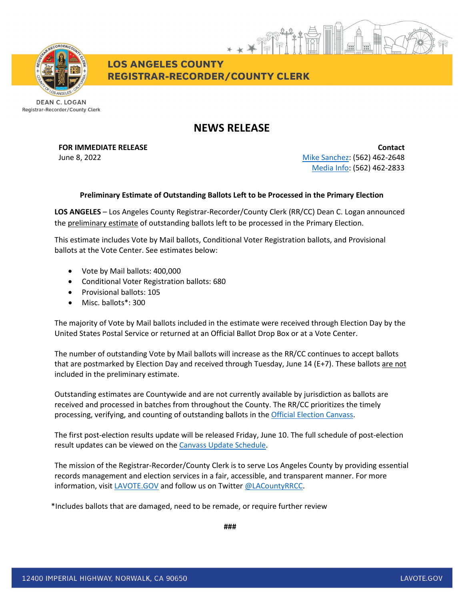

**LOS ANGELES COUNTY REGISTRAR-RECORDER/COUNTY CLERK** 

**DEAN C. LOGAN** Registrar-Recorder/County Clerk

## **NEWS RELEASE**

## **FOR IMMEDIATE RELEASE Contact**

June 8, 2022 [Mike Sanchez:](mailto:msanchez@rrcc.lacounty.gov) (562) 462-2648 [Media Info:](mailto:mediainfo@rrcc.lacounty.gov) (562) 462-2833

## **Preliminary Estimate of Outstanding Ballots Left to be Processed in the Primary Election**

**LOS ANGELES** – Los Angeles County Registrar-Recorder/County Clerk (RR/CC) Dean C. Logan announced the preliminary estimate of outstanding ballots left to be processed in the Primary Election.

This estimate includes Vote by Mail ballots, Conditional Voter Registration ballots, and Provisional ballots at the Vote Center. See estimates below:

- Vote by Mail ballots: 400,000
- Conditional Voter Registration ballots: 680
- Provisional ballots: 105
- Misc. ballots\*: 300

The majority of Vote by Mail ballots included in the estimate were received through Election Day by the United States Postal Service or returned at an Official Ballot Drop Box or at a Vote Center.

The number of outstanding Vote by Mail ballots will increase as the RR/CC continues to accept ballots that are postmarked by Election Day and received through Tuesday, June 14 (E+7). These ballots are not included in the preliminary estimate.

Outstanding estimates are Countywide and are not currently available by jurisdiction as ballots are received and processed in batches from throughout the County. The RR/CC prioritizes the timely processing, verifying, and counting of outstanding ballots in the [Official Election Canvass.](https://www.lavote.gov/home/voting-elections/current-elections/election-results/certifying-results)

The first post-election results update will be released Friday, June 10. The full schedule of post-election result updates can be viewed on th[e Canvass Update Schedule.](https://www.lavote.gov/docs/rrcc/election-info/06072022_canvass-update-schedule.pdf)

The mission of the Registrar-Recorder/County Clerk is to serve Los Angeles County by providing essential records management and election services in a fair, accessible, and transparent manner. For more information, visit [LAVOTE.GOV](https://lavote.gov/) and follow us on Twitter [@LACountyRRCC.](https://twitter.com/LACountyRRCC)

\*Includes ballots that are damaged, need to be remade, or require further review

**###**